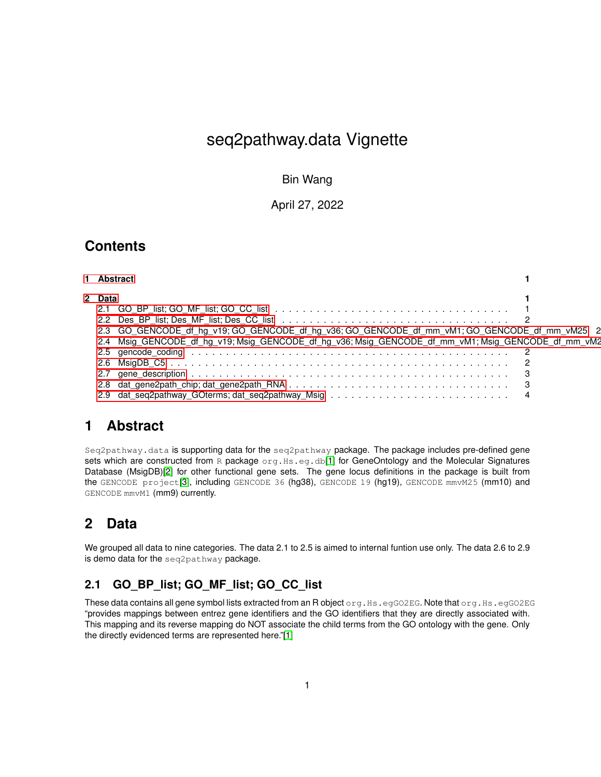# seq2pathway.data Vignette

Bin Wang

April 27, 2022

## **Contents**

| <b>Abstract</b> |
|-----------------|
|                 |

| 1 Abstract                                                                                         |  |
|----------------------------------------------------------------------------------------------------|--|
| 2 Data                                                                                             |  |
|                                                                                                    |  |
|                                                                                                    |  |
| 2.3 GO GENCODE df ha v19; GO GENCODE df ha v36; GO GENCODE df mm vM1; GO GENCODE df mm vM25 2      |  |
| 2.4 Msig GENCODE df hg v19; Msig GENCODE df hg v36; Msig GENCODE df mm vM1; Msig GENCODE df mm vM2 |  |
|                                                                                                    |  |
|                                                                                                    |  |
|                                                                                                    |  |
|                                                                                                    |  |
|                                                                                                    |  |

## <span id="page-0-0"></span>**1 Abstract**

Seq2pathway.data is supporting data for the seq2pathway package. The package includes pre-defined gene sets which are constructed from R package org. Hs.eg.db[\[1\]](#page-3-1) for GeneOntology and the Molecular Signatures Database (MsigDB)[\[2\]](#page-3-2) for other functional gene sets. The gene locus definitions in the package is built from the GENCODE project[\[3\]](#page-3-3), including GENCODE 36 (hg38), GENCODE 19 (hg19), GENCODE mmvM25 (mm10) and GENCODE mmvM1 (mm9) currently.

# <span id="page-0-1"></span>**2 Data**

We grouped all data to nine categories. The data 2.1 to 2.5 is aimed to internal funtion use only. The data 2.6 to 2.9 is demo data for the seq2pathway package.

### <span id="page-0-2"></span>**2.1 GO\_BP\_list; GO\_MF\_list; GO\_CC\_list**

These data contains all gene symbol lists extracted from an R object org.Hs.egGO2EG. Note that org.Hs.egGO2EG "provides mappings between entrez gene identifiers and the GO identifiers that they are directly associated with. This mapping and its reverse mapping do NOT associate the child terms from the GO ontology with the gene. Only the directly evidenced terms are represented here."[\[1\]](#page-3-1)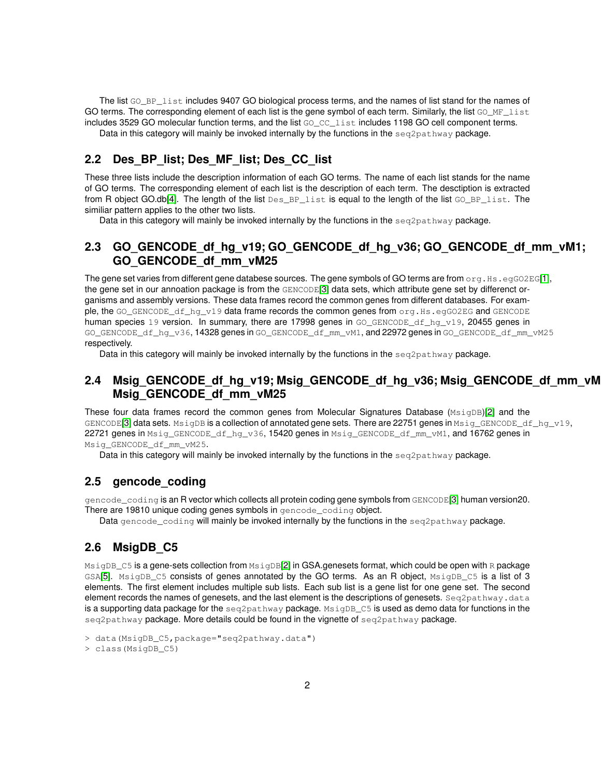The list GO\_BP\_list includes 9407 GO biological process terms, and the names of list stand for the names of GO terms. The corresponding element of each list is the gene symbol of each term. Similarly, the list GO\_MF\_list includes 3529 GO molecular function terms, and the list GO\_CC\_list includes 1198 GO cell component terms.

Data in this category will mainly be invoked internally by the functions in the seq2pathway package.

#### <span id="page-1-0"></span>**2.2 Des\_BP\_list; Des\_MF\_list; Des\_CC\_list**

These three lists include the description information of each GO terms. The name of each list stands for the name of GO terms. The corresponding element of each list is the description of each term. The desctiption is extracted from R object GO.db[\[4\]](#page-3-4). The length of the list Des\_BP\_list is equal to the length of the list GO\_BP\_list. The similiar pattern applies to the other two lists.

<span id="page-1-1"></span>Data in this category will mainly be invoked internally by the functions in the seq2pathway package.

#### **2.3 GO\_GENCODE\_df\_hg\_v19; GO\_GENCODE\_df\_hg\_v36; GO\_GENCODE\_df\_mm\_vM1; GO\_GENCODE\_df\_mm\_vM25**

The gene set varies from different gene databese sources. The gene symbols of GO terms are from org.Hs.egGO2EG[\[1\]](#page-3-1), the gene set in our annoation package is from the GENCODE[\[3\]](#page-3-3) data sets, which attribute gene set by differenct organisms and assembly versions. These data frames record the common genes from different databases. For example, the GO\_GENCODE\_df\_hg\_v19 data frame records the common genes from org.Hs.egGO2EG and GENCODE human species 19 version. In summary, there are 17998 genes in GO\_GENCODE\_df\_hq\_v19, 20455 genes in GO\_GENCODE\_df\_hq\_v36, 14328 genes in GO\_GENCODE\_df\_mm\_vM1, and 22972 genes in GO\_GENCODE\_df\_mm\_vM25 respectively.

<span id="page-1-2"></span>Data in this category will mainly be invoked internally by the functions in the  $seq2pathway$  package.

#### **2.4 Msig\_GENCODE\_df\_hg\_v19; Msig\_GENCODE\_df\_hg\_v36; Msig\_GENCODE\_df\_mm\_vM1; Msig\_GENCODE\_df\_mm\_vM25**

These four data frames record the common genes from Molecular Signatures Database (MsigDB)[\[2\]](#page-3-2) and the GENCODE<sup>[\[3\]](#page-3-3)</sup> data sets. MsigDB is a collection of annotated gene sets. There are 22751 genes in Msig\_GENCODE\_df\_hg\_v19, 22721 genes in Msig\_GENCODE\_df\_hg\_v36, 15420 genes in Msig\_GENCODE\_df\_mm\_vM1, and 16762 genes in Msig\_GENCODE\_df\_mm\_vM25.

<span id="page-1-3"></span>Data in this category will mainly be invoked internally by the functions in the seq2pathway package.

#### **2.5 gencode\_coding**

gencode\_coding is an R vector which collects all protein coding gene symbols from GENCODE[\[3\]](#page-3-3) human version20. There are 19810 unique coding genes symbols in gencode coding object.

Data gencode\_coding will mainly be invoked internally by the functions in the seg2pathway package.

#### <span id="page-1-4"></span>**2.6 MsigDB\_C5**

MsigDB\_C5 is a gene-sets collection from MsigDB[\[2\]](#page-3-2) in GSA.genesets format, which could be open with R package GSA[\[5\]](#page-3-5). MsigDB\_C5 consists of genes annotated by the GO terms. As an R object, MsigDB\_C5 is a list of 3 elements. The first element includes multiple sub lists. Each sub list is a gene list for one gene set. The second element records the names of genesets, and the last element is the descriptions of genesets. Seq2pathway.data is a supporting data package for the  $seq2pathway$  package. MsigDB\_C5 is used as demo data for functions in the seq2pathway package. More details could be found in the vignette of seq2pathway package.

<sup>&</sup>gt; data(MsigDB\_C5,package="seq2pathway.data")

<sup>&</sup>gt; class(MsigDB\_C5)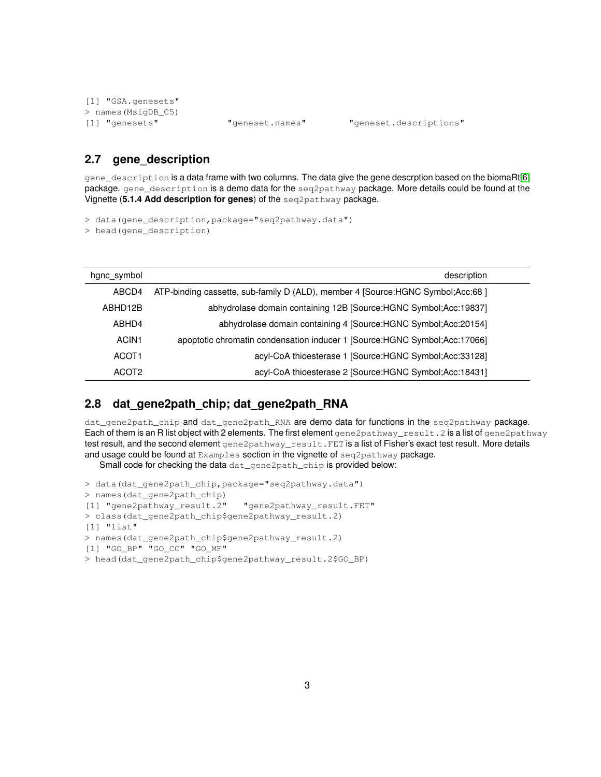```
[1] "GSA.genesets"
> names(MsigDB_C5)
[1] "genesets" "geneset.names" "geneset.descriptions"
```
#### <span id="page-2-0"></span>**2.7 gene\_description**

gene\_description is a data frame with two columns. The data give the gene descrption based on the biomaRt[\[6\]](#page-3-6) package. gene\_description is a demo data for the seq2pathway package. More details could be found at the Vignette (**5.1.4 Add description for genes**) of the seq2pathway package.

> data(gene\_description,package="seq2pathway.data")

> head(gene description)

| hgnc_symbol       | description                                                                     |  |
|-------------------|---------------------------------------------------------------------------------|--|
| ABCD4             | ATP-binding cassette, sub-family D (ALD), member 4 [Source:HGNC Symbol;Acc:68 ] |  |
| ABHD12B           | abhydrolase domain containing 12B [Source:HGNC Symbol;Acc:19837]                |  |
| ABHD4             | abhydrolase domain containing 4 [Source:HGNC Symbol;Acc:20154]                  |  |
| ACIN <sub>1</sub> | apoptotic chromatin condensation inducer 1 [Source:HGNC Symbol;Acc:17066]       |  |
| ACOT <sub>1</sub> | acyl-CoA thioesterase 1 [Source: HGNC Symbol: Acc: 33128]                       |  |
| ACOT <sub>2</sub> | acyl-CoA thioesterase 2 [Source:HGNC Symbol;Acc:18431]                          |  |

#### <span id="page-2-1"></span>**2.8 dat\_gene2path\_chip; dat\_gene2path\_RNA**

dat\_gene2path\_chip and dat\_gene2path\_RNA are demo data for functions in the seq2pathway package. Each of them is an R list object with 2 elements. The first element gene2pathway\_result.2 is a list of gene2pathway test result, and the second element gene2pathway\_result.FET is a list of Fisher's exact test result. More details and usage could be found at Examples section in the vignette of seq2pathway package.

Small code for checking the data dat\_gene2path\_chip is provided below:

```
> data(dat_gene2path_chip,package="seq2pathway.data")
> names(dat_gene2path_chip)
[1] "gene2pathway_result.2" "gene2pathway_result.FET"
> class(dat_gene2path_chip$gene2pathway_result.2)
[1] "list"
> names(dat_gene2path_chip$gene2pathway_result.2)
[1] "GO_BP" "GO_CC" "GO_MF"
> head(dat_gene2path_chip$gene2pathway_result.2$GO_BP)
```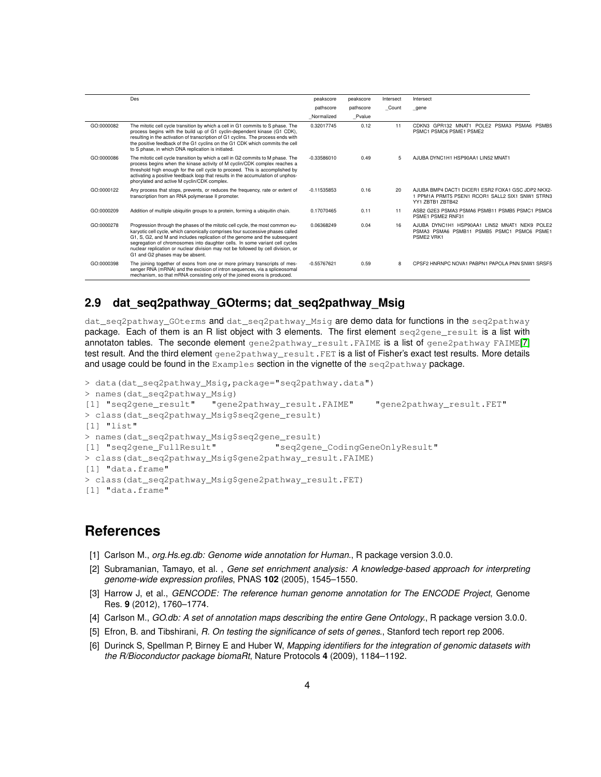|            | Des                                                                                                                                                                                                                                                                                                                                                                                                                                                 | peakscore     | peakscore | Intersect | Intersect                                                                                                                |
|------------|-----------------------------------------------------------------------------------------------------------------------------------------------------------------------------------------------------------------------------------------------------------------------------------------------------------------------------------------------------------------------------------------------------------------------------------------------------|---------------|-----------|-----------|--------------------------------------------------------------------------------------------------------------------------|
|            |                                                                                                                                                                                                                                                                                                                                                                                                                                                     | pathscore     | pathscore | Count     | gene                                                                                                                     |
|            |                                                                                                                                                                                                                                                                                                                                                                                                                                                     | Normalized    | Pvalue    |           |                                                                                                                          |
| GO:0000082 | The mitotic cell cycle transition by which a cell in G1 commits to S phase. The<br>process begins with the build up of G1 cyclin-dependent kinase (G1 CDK),<br>resulting in the activation of transcription of G1 cyclins. The process ends with<br>the positive feedback of the G1 cyclins on the G1 CDK which commits the cell<br>to S phase, in which DNA replication is initiated.                                                              | 0.32017745    | 0.12      | 11        | CDKN3 GPR132 MNAT1 POLE2 PSMA3 PSMA6 PSMB5<br>PSMC1 PSMC6 PSME1 PSME2                                                    |
| GO:0000086 | The mitotic cell cycle transition by which a cell in G2 commits to M phase. The<br>process begins when the kinase activity of M cyclin/CDK complex reaches a<br>threshold high enough for the cell cycle to proceed. This is accomplished by<br>activating a positive feedback loop that results in the accumulation of unphos-<br>phorylated and active M cyclin/CDK complex.                                                                      | $-0.33586010$ | 0.49      | 5         | AJUBA DYNC1H1 HSP90AA1 LIN52 MNAT1                                                                                       |
| GO:0000122 | Any process that stops, prevents, or reduces the frequency, rate or extent of<br>transcription from an RNA polymerase II promoter.                                                                                                                                                                                                                                                                                                                  | $-0.11535853$ | 0.16      | 20        | AJUBA BMP4 DACT1 DICER1 ESR2 FOXA1 GSC JDP2 NKX2-<br>1 PPM1A PRMT5 PSEN1 RCOR1 SALL2 SIX1 SNW1 STRN3<br>YY1 ZBTB1 ZBTB42 |
| GO:0000209 | Addition of multiple ubiquitin groups to a protein, forming a ubiquitin chain.                                                                                                                                                                                                                                                                                                                                                                      | 0.17070465    | 0.11      | 11        | ASB2 G2E3 PSMA3 PSMA6 PSMB11 PSMB5 PSMC1 PSMC6<br>PSME1 PSME2 RNF31                                                      |
| GO:0000278 | Progression through the phases of the mitotic cell cycle, the most common eu-<br>karyotic cell cycle, which canonically comprises four successive phases called<br>G1, S, G2, and M and includes replication of the genome and the subsequent<br>segregation of chromosomes into daughter cells. In some variant cell cycles<br>nuclear replication or nuclear division may not be followed by cell division, or<br>G1 and G2 phases may be absent. | 0.06368249    | 0.04      | 16        | AJUBA DYNC1H1 HSP90AA1 LIN52 MNAT1 NEK9<br>POLE <sub>2</sub><br>PSMA3 PSMA6 PSMB11 PSMB5 PSMC1 PSMC6 PSME1<br>PSME2 VRK1 |
| GO:0000398 | The joining together of exons from one or more primary transcripts of mes-<br>senger RNA (mRNA) and the excision of intron sequences, via a spliceosomal<br>mechanism, so that mRNA consisting only of the joined exons is produced.                                                                                                                                                                                                                | $-0.55767621$ | 0.59      | 8         | CPSE2 HNRNPC NOVA1 PABPN1 PAPOLA PNN SNW1 SRSE5                                                                          |

#### <span id="page-3-0"></span>**2.9 dat\_seq2pathway\_GOterms; dat\_seq2pathway\_Msig**

dat\_seq2pathway\_GOterms and dat\_seq2pathway\_Msig are demo data for functions in the seq2pathway package. Each of them is an R list object with 3 elements. The first element seq2gene\_result is a list with annotaton tables. The seconde element gene2pathway\_result.FAIME is a list of gene2pathway FAIME[\[7\]](#page-4-0) test result. And the third element gene2pathway\_result.FET is a list of Fisher's exact test results. More details and usage could be found in the Examples section in the vignette of the seq2pathway package.

```
> data(dat_seq2pathway_Msig,package="seq2pathway.data")
> names(dat_seq2pathway_Msig)
[1] "seq2gene_result" "gene2pathway_result.FAIME" "gene2pathway_result.FET"
> class(dat_seq2pathway_Msig$seq2gene_result)
[1] "list"
> names(dat_seq2pathway_Msig$seq2gene_result)
[1] "seq2gene_FullResult" "seq2gene_CodingGeneOnlyResult"
> class(dat_seq2pathway_Msig$gene2pathway_result.FAIME)
[1] "data.frame"
> class(dat seq2pathway Msig$gene2pathway result.FET)
[1] "data.frame"
```
### **References**

- <span id="page-3-1"></span>[1] Carlson M., *org.Hs.eg.db: Genome wide annotation for Human.*, R package version 3.0.0.
- <span id="page-3-2"></span>[2] Subramanian, Tamayo, et al. , *Gene set enrichment analysis: A knowledge-based approach for interpreting genome-wide expression profiles*, PNAS **102** (2005), 1545–1550.
- <span id="page-3-3"></span>[3] Harrow J, et al., *GENCODE: The reference human genome annotation for The ENCODE Project*, Genome Res. **9** (2012), 1760–1774.
- <span id="page-3-4"></span>[4] Carlson M., *GO.db: A set of annotation maps describing the entire Gene Ontology.*, R package version 3.0.0.
- <span id="page-3-5"></span>[5] Efron, B. and Tibshirani, *R. On testing the significance of sets of genes.*, Stanford tech report rep 2006.
- <span id="page-3-6"></span>[6] Durinck S, Spellman P, Birney E and Huber W, *Mapping identifiers for the integration of genomic datasets with the R/Bioconductor package biomaRt*, Nature Protocols **4** (2009), 1184–1192.